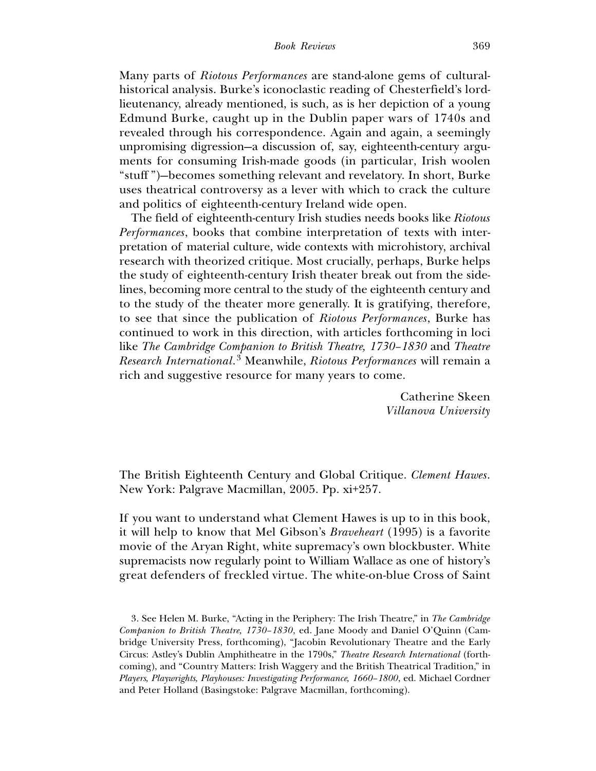Many parts of *Riotous Performances* are stand-alone gems of culturalhistorical analysis. Burke's iconoclastic reading of Chesterfield's lordlieutenancy, already mentioned, is such, as is her depiction of a young Edmund Burke, caught up in the Dublin paper wars of 1740s and revealed through his correspondence. Again and again, a seemingly unpromising digression—a discussion of, say, eighteenth-century arguments for consuming Irish-made goods (in particular, Irish woolen "stuff ")—becomes something relevant and revelatory. In short, Burke uses theatrical controversy as a lever with which to crack the culture and politics of eighteenth-century Ireland wide open.

The field of eighteenth-century Irish studies needs books like *Riotous Performances*, books that combine interpretation of texts with interpretation of material culture, wide contexts with microhistory, archival research with theorized critique. Most crucially, perhaps, Burke helps the study of eighteenth-century Irish theater break out from the sidelines, becoming more central to the study of the eighteenth century and to the study of the theater more generally. It is gratifying, therefore, to see that since the publication of *Riotous Performances*, Burke has continued to work in this direction, with articles forthcoming in loci like *The Cambridge Companion to British Theatre, 1730–1830* and *Theatre Research International*. 3 Meanwhile, *Riotous Performances* will remain a rich and suggestive resource for many years to come.

> Catherine Skeen *Villanova University*

The British Eighteenth Century and Global Critique. *Clement Hawes*. New York: Palgrave Macmillan, 2005. Pp. xi+257.

If you want to understand what Clement Hawes is up to in this book, it will help to know that Mel Gibson's *Braveheart* (1995) is a favorite movie of the Aryan Right, white supremacy's own blockbuster. White supremacists now regularly point to William Wallace as one of history's great defenders of freckled virtue. The white-on-blue Cross of Saint

<sup>3.</sup> See Helen M. Burke, "Acting in the Periphery: The Irish Theatre," in *The Cambridge Companion to British Theatre, 1730–1830*, ed. Jane Moody and Daniel O'Quinn (Cambridge University Press, forthcoming), "Jacobin Revolutionary Theatre and the Early Circus: Astley's Dublin Amphitheatre in the 1790s," *Theatre Research International* (forthcoming), and "Country Matters: Irish Waggery and the British Theatrical Tradition," in *Players, Playwrights, Playhouses: Investigating Performance, 1660–1800*, ed. Michael Cordner and Peter Holland (Basingstoke: Palgrave Macmillan, forthcoming).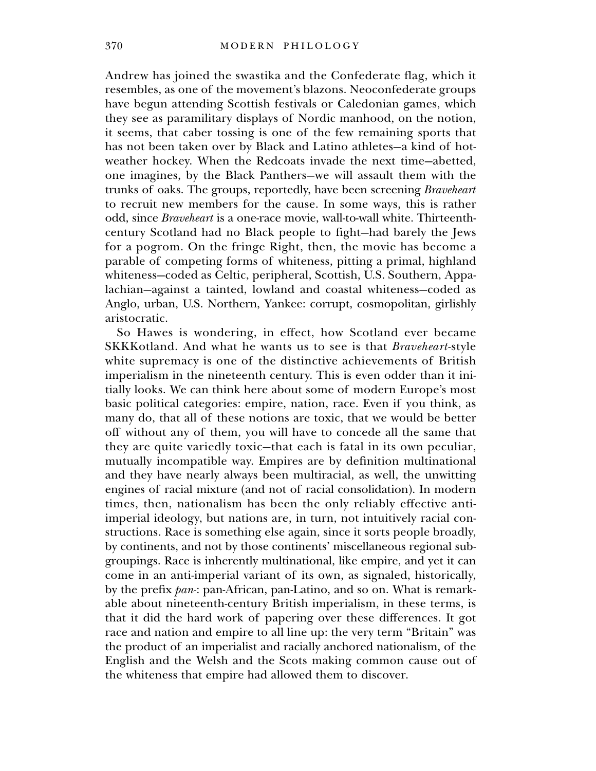Andrew has joined the swastika and the Confederate flag, which it resembles, as one of the movement's blazons. Neoconfederate groups have begun attending Scottish festivals or Caledonian games, which they see as paramilitary displays of Nordic manhood, on the notion, it seems, that caber tossing is one of the few remaining sports that has not been taken over by Black and Latino athletes—a kind of hotweather hockey. When the Redcoats invade the next time—abetted, one imagines, by the Black Panthers—we will assault them with the trunks of oaks. The groups, reportedly, have been screening *Braveheart* to recruit new members for the cause. In some ways, this is rather odd, since *Braveheart* is a one-race movie, wall-to-wall white. Thirteenthcentury Scotland had no Black people to fight—had barely the Jews for a pogrom. On the fringe Right, then, the movie has become a parable of competing forms of whiteness, pitting a primal, highland whiteness—coded as Celtic, peripheral, Scottish, U.S. Southern, Appalachian—against a tainted, lowland and coastal whiteness—coded as Anglo, urban, U.S. Northern, Yankee: corrupt, cosmopolitan, girlishly aristocratic.

So Hawes is wondering, in effect, how Scotland ever became SKKKotland. And what he wants us to see is that *Braveheart*-style white supremacy is one of the distinctive achievements of British imperialism in the nineteenth century. This is even odder than it initially looks. We can think here about some of modern Europe's most basic political categories: empire, nation, race. Even if you think, as many do, that all of these notions are toxic, that we would be better off without any of them, you will have to concede all the same that they are quite variedly toxic—that each is fatal in its own peculiar, mutually incompatible way. Empires are by definition multinational and they have nearly always been multiracial, as well, the unwitting engines of racial mixture (and not of racial consolidation). In modern times, then, nationalism has been the only reliably effective antiimperial ideology, but nations are, in turn, not intuitively racial constructions. Race is something else again, since it sorts people broadly, by continents, and not by those continents' miscellaneous regional subgroupings. Race is inherently multinational, like empire, and yet it can come in an anti-imperial variant of its own, as signaled, historically, by the prefix *pan-*: pan-African, pan-Latino, and so on. What is remarkable about nineteenth-century British imperialism, in these terms, is that it did the hard work of papering over these differences. It got race and nation and empire to all line up: the very term "Britain" was the product of an imperialist and racially anchored nationalism, of the English and the Welsh and the Scots making common cause out of the whiteness that empire had allowed them to discover.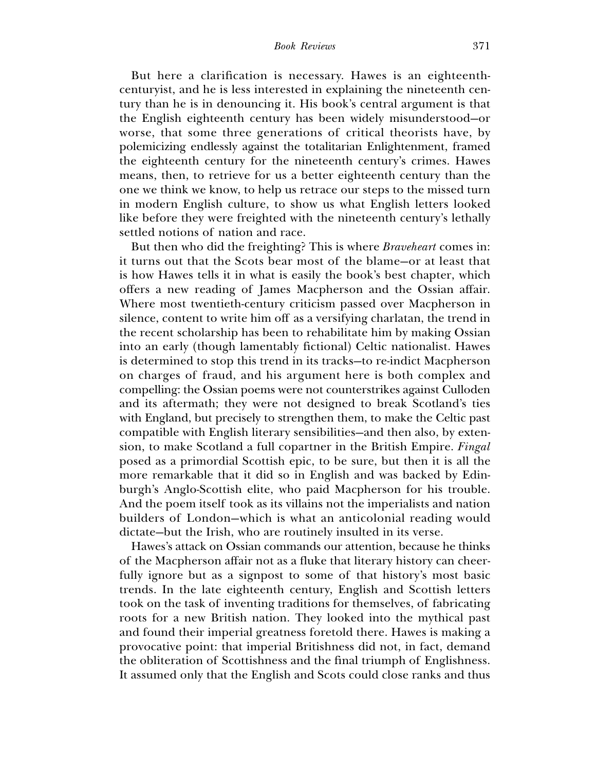But here a clarification is necessary. Hawes is an eighteenthcenturyist, and he is less interested in explaining the nineteenth century than he is in denouncing it. His book's central argument is that the English eighteenth century has been widely misunderstood—or worse, that some three generations of critical theorists have, by polemicizing endlessly against the totalitarian Enlightenment, framed the eighteenth century for the nineteenth century's crimes. Hawes means, then, to retrieve for us a better eighteenth century than the one we think we know, to help us retrace our steps to the missed turn in modern English culture, to show us what English letters looked like before they were freighted with the nineteenth century's lethally settled notions of nation and race.

But then who did the freighting? This is where *Braveheart* comes in: it turns out that the Scots bear most of the blame—or at least that is how Hawes tells it in what is easily the book's best chapter, which offers a new reading of James Macpherson and the Ossian affair. Where most twentieth-century criticism passed over Macpherson in silence, content to write him off as a versifying charlatan, the trend in the recent scholarship has been to rehabilitate him by making Ossian into an early (though lamentably fictional) Celtic nationalist. Hawes is determined to stop this trend in its tracks—to re-indict Macpherson on charges of fraud, and his argument here is both complex and compelling: the Ossian poems were not counterstrikes against Culloden and its aftermath; they were not designed to break Scotland's ties with England, but precisely to strengthen them, to make the Celtic past compatible with English literary sensibilities—and then also, by extension, to make Scotland a full copartner in the British Empire. *Fingal* posed as a primordial Scottish epic, to be sure, but then it is all the more remarkable that it did so in English and was backed by Edinburgh's Anglo-Scottish elite, who paid Macpherson for his trouble. And the poem itself took as its villains not the imperialists and nation builders of London—which is what an anticolonial reading would dictate—but the Irish, who are routinely insulted in its verse.

Hawes's attack on Ossian commands our attention, because he thinks of the Macpherson affair not as a fluke that literary history can cheerfully ignore but as a signpost to some of that history's most basic trends. In the late eighteenth century, English and Scottish letters took on the task of inventing traditions for themselves, of fabricating roots for a new British nation. They looked into the mythical past and found their imperial greatness foretold there. Hawes is making a provocative point: that imperial Britishness did not, in fact, demand the obliteration of Scottishness and the final triumph of Englishness. It assumed only that the English and Scots could close ranks and thus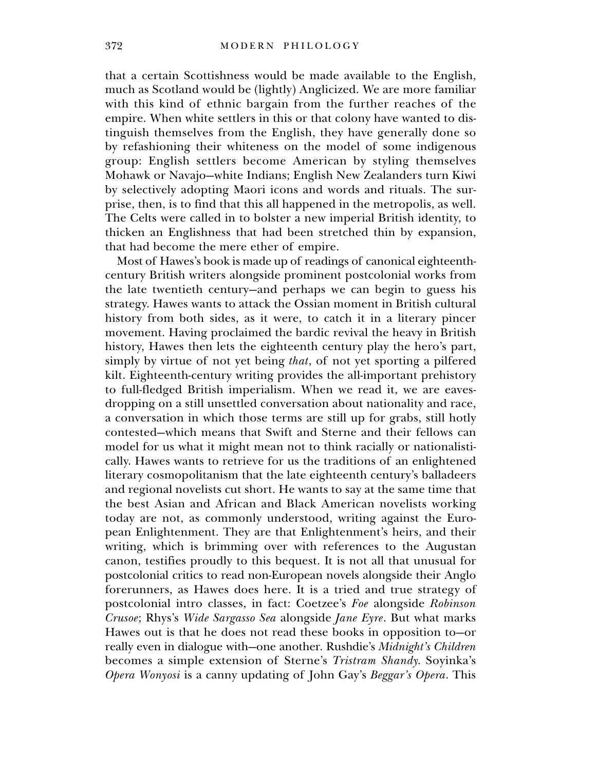that a certain Scottishness would be made available to the English, much as Scotland would be (lightly) Anglicized. We are more familiar with this kind of ethnic bargain from the further reaches of the empire. When white settlers in this or that colony have wanted to distinguish themselves from the English, they have generally done so by refashioning their whiteness on the model of some indigenous group: English settlers become American by styling themselves Mohawk or Navajo—white Indians; English New Zealanders turn Kiwi by selectively adopting Maori icons and words and rituals. The surprise, then, is to find that this all happened in the metropolis, as well. The Celts were called in to bolster a new imperial British identity, to thicken an Englishness that had been stretched thin by expansion, that had become the mere ether of empire.

Most of Hawes's book is made up of readings of canonical eighteenthcentury British writers alongside prominent postcolonial works from the late twentieth century—and perhaps we can begin to guess his strategy. Hawes wants to attack the Ossian moment in British cultural history from both sides, as it were, to catch it in a literary pincer movement. Having proclaimed the bardic revival the heavy in British history, Hawes then lets the eighteenth century play the hero's part, simply by virtue of not yet being *that*, of not yet sporting a pilfered kilt. Eighteenth-century writing provides the all-important prehistory to full-fledged British imperialism. When we read it, we are eavesdropping on a still unsettled conversation about nationality and race, a conversation in which those terms are still up for grabs, still hotly contested—which means that Swift and Sterne and their fellows can model for us what it might mean not to think racially or nationalistically. Hawes wants to retrieve for us the traditions of an enlightened literary cosmopolitanism that the late eighteenth century's balladeers and regional novelists cut short. He wants to say at the same time that the best Asian and African and Black American novelists working today are not, as commonly understood, writing against the European Enlightenment. They are that Enlightenment's heirs, and their writing, which is brimming over with references to the Augustan canon, testifies proudly to this bequest. It is not all that unusual for postcolonial critics to read non-European novels alongside their Anglo forerunners, as Hawes does here. It is a tried and true strategy of postcolonial intro classes, in fact: Coetzee's *Foe* alongside *Robinson Crusoe*; Rhys's *Wide Sargasso Sea* alongside *Jane Eyre*. But what marks Hawes out is that he does not read these books in opposition to—or really even in dialogue with—one another. Rushdie's *Midnight's Children* becomes a simple extension of Sterne's *Tristram Shandy*. Soyinka's *Opera Wonyosi* is a canny updating of John Gay's *Beggar's Opera*. This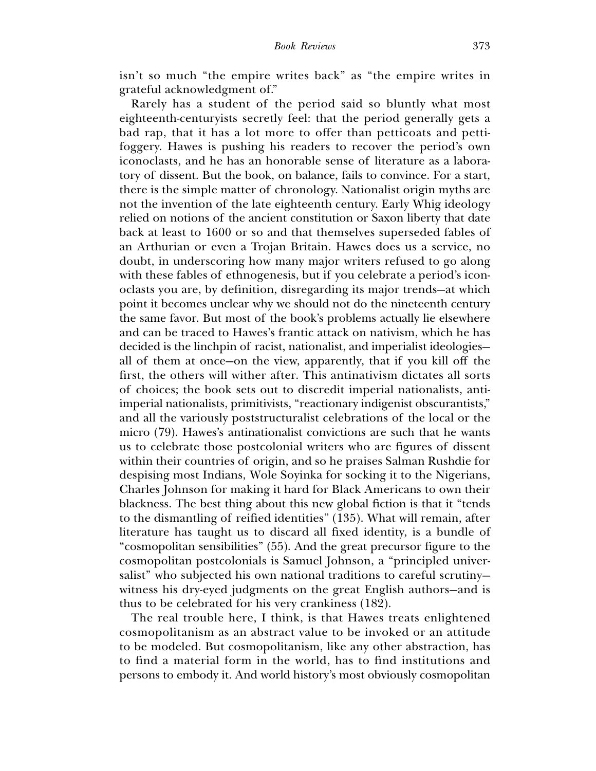isn't so much "the empire writes back" as "the empire writes in grateful acknowledgment of."

Rarely has a student of the period said so bluntly what most eighteenth-centuryists secretly feel: that the period generally gets a bad rap, that it has a lot more to offer than petticoats and pettifoggery. Hawes is pushing his readers to recover the period's own iconoclasts, and he has an honorable sense of literature as a laboratory of dissent. But the book, on balance, fails to convince. For a start, there is the simple matter of chronology. Nationalist origin myths are not the invention of the late eighteenth century. Early Whig ideology relied on notions of the ancient constitution or Saxon liberty that date back at least to 1600 or so and that themselves superseded fables of an Arthurian or even a Trojan Britain. Hawes does us a service, no doubt, in underscoring how many major writers refused to go along with these fables of ethnogenesis, but if you celebrate a period's iconoclasts you are, by definition, disregarding its major trends—at which point it becomes unclear why we should not do the nineteenth century the same favor. But most of the book's problems actually lie elsewhere and can be traced to Hawes's frantic attack on nativism, which he has decided is the linchpin of racist, nationalist, and imperialist ideologies all of them at once—on the view, apparently, that if you kill off the first, the others will wither after. This antinativism dictates all sorts of choices; the book sets out to discredit imperial nationalists, antiimperial nationalists, primitivists, "reactionary indigenist obscurantists," and all the variously poststructuralist celebrations of the local or the micro (79). Hawes's antinationalist convictions are such that he wants us to celebrate those postcolonial writers who are figures of dissent within their countries of origin, and so he praises Salman Rushdie for despising most Indians, Wole Soyinka for socking it to the Nigerians, Charles Johnson for making it hard for Black Americans to own their blackness. The best thing about this new global fiction is that it "tends to the dismantling of reified identities" (135). What will remain, after literature has taught us to discard all fixed identity, is a bundle of "cosmopolitan sensibilities" (55). And the great precursor figure to the cosmopolitan postcolonials is Samuel Johnson, a "principled universalist" who subjected his own national traditions to careful scrutiny witness his dry-eyed judgments on the great English authors—and is thus to be celebrated for his very crankiness (182).

The real trouble here, I think, is that Hawes treats enlightened cosmopolitanism as an abstract value to be invoked or an attitude to be modeled. But cosmopolitanism, like any other abstraction, has to find a material form in the world, has to find institutions and persons to embody it. And world history's most obviously cosmopolitan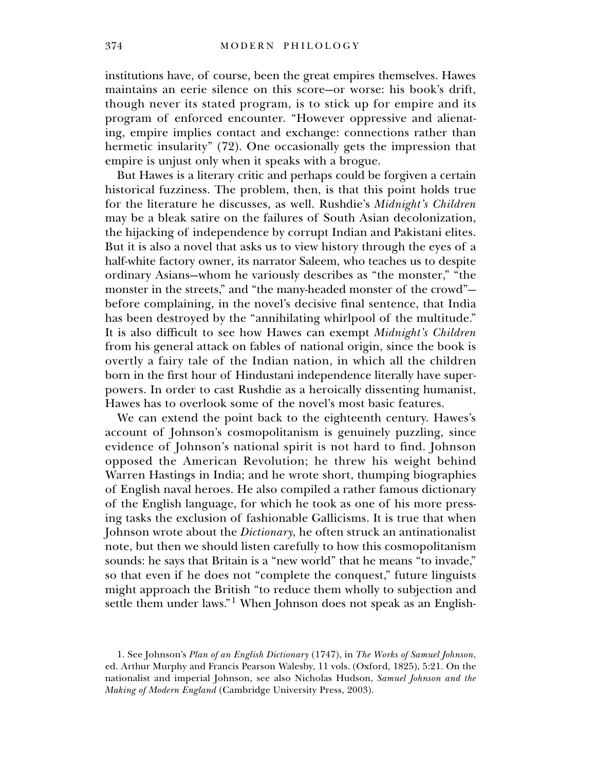institutions have, of course, been the great empires themselves. Hawes maintains an eerie silence on this score—or worse: his book's drift, though never its stated program, is to stick up for empire and its program of enforced encounter. "However oppressive and alienating, empire implies contact and exchange: connections rather than hermetic insularity" (72). One occasionally gets the impression that empire is unjust only when it speaks with a brogue.

But Hawes is a literary critic and perhaps could be forgiven a certain historical fuzziness. The problem, then, is that this point holds true for the literature he discusses, as well. Rushdie's *Midnight's Children* may be a bleak satire on the failures of South Asian decolonization, the hijacking of independence by corrupt Indian and Pakistani elites. But it is also a novel that asks us to view history through the eyes of a half-white factory owner, its narrator Saleem, who teaches us to despite ordinary Asians—whom he variously describes as "the monster," "the monster in the streets," and "the many-headed monster of the crowd" before complaining, in the novel's decisive final sentence, that India has been destroyed by the "annihilating whirlpool of the multitude." It is also difficult to see how Hawes can exempt *Midnight's Children* from his general attack on fables of national origin, since the book is overtly a fairy tale of the Indian nation, in which all the children born in the first hour of Hindustani independence literally have superpowers. In order to cast Rushdie as a heroically dissenting humanist, Hawes has to overlook some of the novel's most basic features.

We can extend the point back to the eighteenth century. Hawes's account of Johnson's cosmopolitanism is genuinely puzzling, since evidence of Johnson's national spirit is not hard to find. Johnson opposed the American Revolution; he threw his weight behind Warren Hastings in India; and he wrote short, thumping biographies of English naval heroes. He also compiled a rather famous dictionary of the English language, for which he took as one of his more pressing tasks the exclusion of fashionable Gallicisms. It is true that when Johnson wrote about the *Dictionary*, he often struck an antinationalist note, but then we should listen carefully to how this cosmopolitanism sounds: he says that Britain is a "new world" that he means "to invade," so that even if he does not "complete the conquest," future linguists might approach the British "to reduce them wholly to subjection and settle them under laws."<sup>1</sup> When Johnson does not speak as an English-

<sup>1.</sup> See Johnson's *Plan of an English Dictionary* (1747), in *The Works of Samuel Johnson*, ed. Arthur Murphy and Francis Pearson Walesby, 11 vols. (Oxford, 1825), 5:21. On the nationalist and imperial Johnson, see also Nicholas Hudson, *Samuel Johnson and the Making of Modern England* (Cambridge University Press, 2003).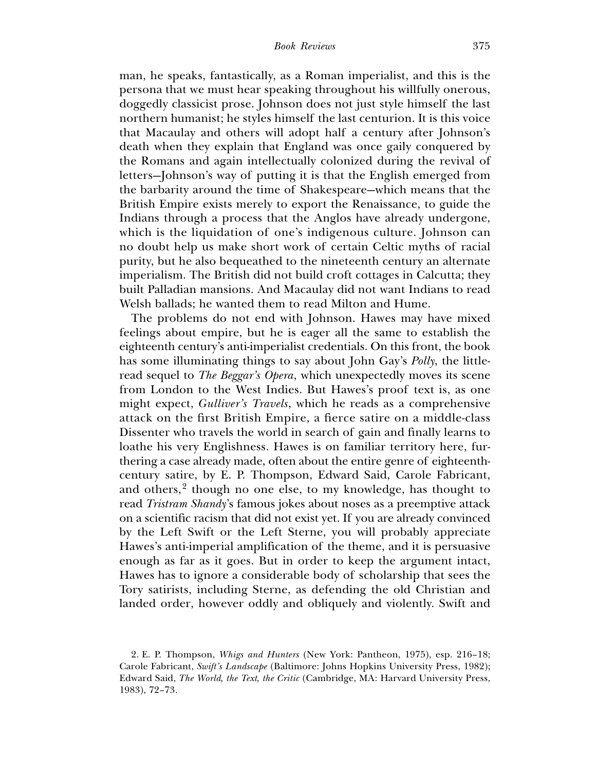man, he speaks, fantastically, as a Roman imperialist, and this is the persona that we must hear speaking throughout his willfully onerous, doggedly classicist prose. Johnson does not just style himself the last northern humanist; he styles himself the last centurion. It is this voice that Macaulay and others will adopt half a century after Johnson's death when they explain that England was once gaily conquered by the Romans and again intellectually colonized during the revival of letters—Johnson's way of putting it is that the English emerged from the barbarity around the time of Shakespeare—which means that the British Empire exists merely to export the Renaissance, to guide the Indians through a process that the Anglos have already undergone, which is the liquidation of one's indigenous culture. Johnson can no doubt help us make short work of certain Celtic myths of racial purity, but he also bequeathed to the nineteenth century an alternate imperialism. The British did not build croft cottages in Calcutta; they built Palladian mansions. And Macaulay did not want Indians to read Welsh ballads; he wanted them to read Milton and Hume.

The problems do not end with Johnson. Hawes may have mixed feelings about empire, but he is eager all the same to establish the eighteenth century's anti-imperialist credentials. On this front, the book has some illuminating things to say about John Gay's *Polly*, the littleread sequel to *The Beggar's Opera*, which unexpectedly moves its scene from London to the West Indies. But Hawes's proof text is, as one might expect, *Gulliver's Travels*, which he reads as a comprehensive attack on the first British Empire, a fierce satire on a middle-class Dissenter who travels the world in search of gain and finally learns to loathe his very Englishness. Hawes is on familiar territory here, furthering a case already made, often about the entire genre of eighteenthcentury satire, by E. P. Thompson, Edward Said, Carole Fabricant, and others,<sup>2</sup> though no one else, to my knowledge, has thought to read *Tristram Shandy*'s famous jokes about noses as a preemptive attack on a scientific racism that did not exist yet. If you are already convinced by the Left Swift or the Left Sterne, you will probably appreciate Hawes's anti-imperial amplification of the theme, and it is persuasive enough as far as it goes. But in order to keep the argument intact, Hawes has to ignore a considerable body of scholarship that sees the Tory satirists, including Sterne, as defending the old Christian and landed order, however oddly and obliquely and violently. Swift and

<sup>2.</sup> E. P. Thompson, *Whigs and Hunters* (New York: Pantheon, 1975), esp. 216–18; Carole Fabricant, *Swift's Landscape* (Baltimore: Johns Hopkins University Press, 1982); Edward Said, *The World, the Text, the Critic* (Cambridge, MA: Harvard University Press, 1983), 72–73.